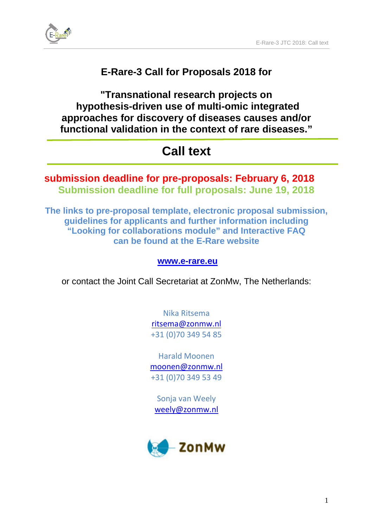

# **E-Rare-3 Call for Proposals 2018 for**

**"Transnational research projects on hypothesis-driven use of multi-omic integrated approaches for discovery of diseases causes and/or functional validation in the context of rare diseases."**

# **Call text**

# **submission deadline for pre-proposals: February 6, 2018 Submission deadline for full proposals: June 19, 2018**

**The links to pre-proposal template, electronic proposal submission, guidelines for applicants and further information including "Looking for collaborations module" and Interactive FAQ can be found at the E-Rare website**

# **[www.e-rare.eu](http://www.e-rare.eu/)**

or contact the Joint Call Secretariat at ZonMw, The Netherlands:

Nika Ritsema [ritsema@zonmw.nl](file://FILESERVER-03/g-$/Team%201/E-Rare-3/JTC%202018/Docs%20JTC%202018/ritsema@zonmw.nl) +31 (0)70 349 54 85

Harald Moonen moonen@zonmw.nl +31 (0)70 349 53 49

Sonja van Weely [weely@zonmw.nl](file://FILESERVER-03/g-$/Team%201/E-Rare-3/JTC%202018/Docs%20JTC%202018/weely@zonmw.nl)

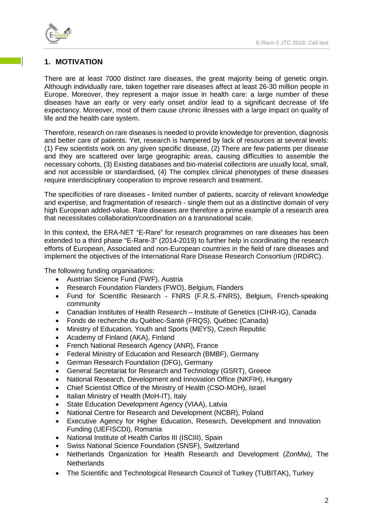# **1. MOTIVATION**

There are at least 7000 distinct rare diseases, the great majority being of genetic origin. Although individually rare, taken together rare diseases affect at least 26-30 million people in Europe. Moreover, they represent a major issue in health care: a large number of these diseases have an early or very early onset and/or lead to a significant decrease of life expectancy. Moreover, most of them cause chronic illnesses with a large impact on quality of life and the health care system.

Therefore, research on rare diseases is needed to provide knowledge for prevention, diagnosis and better care of patients. Yet, research is hampered by lack of resources at several levels: (1) Few scientists work on any given specific disease, (2) There are few patients per disease and they are scattered over large geographic areas, causing difficulties to assemble the necessary cohorts, (3) Existing databases and bio-material collections are usually local, small, and not accessible or standardised, (4) The complex clinical phenotypes of these diseases require interdisciplinary cooperation to improve research and treatment.

The specificities of rare diseases - limited number of patients, scarcity of relevant knowledge and expertise, and fragmentation of research - single them out as a distinctive domain of very high European added-value. Rare diseases are therefore a prime example of a research area that necessitates collaboration/coordination on a transnational scale.

In this context, the ERA-NET "E-Rare" for research programmes on rare diseases has been extended to a third phase "E-Rare-3" (2014-2019) to further help in coordinating the research efforts of European, Associated and non-European countries in the field of rare diseases and implement the objectives of the International Rare Disease Research Consortium (IRDiRC).

The following funding organisations:

- Austrian Science Fund (FWF), Austria
- Research Foundation Flanders (FWO), Belgium, Flanders
- Fund for Scientific Research FNRS (F.R.S.-FNRS), Belgium, French-speaking community
- Canadian Institutes of Health Research Institute of Genetics (CIHR-IG), Canada
- Fonds de recherche du Québec-Santé (FRQS), Québec (Canada)
- Ministry of Education, Youth and Sports (MEYS), Czech Republic
- Academy of Finland (AKA), Finland
- French National Research Agency (ANR), France
- Federal Ministry of Education and Research (BMBF), Germany
- German Research Foundation (DFG), Germany
- General Secretariat for Research and Technology (GSRT), Greece
- National Research, Development and Innovation Office (NKFIH), Hungary
- Chief Scientist Office of the Ministry of Health (CSO-MOH), Israel
- Italian Ministry of Health (MoH-IT), Italy
- State Education Development Agency (VIAA), Latvia
- National Centre for Research and Development (NCBR), Poland
- Executive Agency for Higher Education, Research, Development and Innovation Funding (UEFISCDI), Romania
- National Institute of Health Carlos III (ISCIII), Spain
- Swiss National Science Foundation (SNSF), Switzerland
- Netherlands Organization for Health Research and Development (ZonMw), The **Netherlands**
- The Scientific and Technological Research Council of Turkey (TUBITAK), Turkey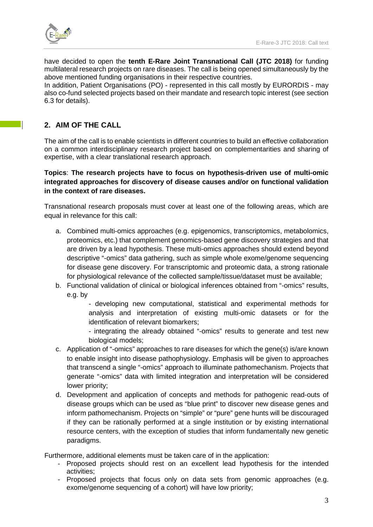

have decided to open the **tenth E-Rare Joint Transnational Call (JTC 2018)** for funding multilateral research projects on rare diseases. The call is being opened simultaneously by the above mentioned funding organisations in their respective countries.

In addition, Patient Organisations (PO) - represented in this call mostly by EURORDIS - may also co-fund selected projects based on their mandate and research topic interest (see section 6.3 for details).

# **2. AIM OF THE CALL**

The aim of the call is to enable scientists in different countries to build an effective collaboration on a common interdisciplinary research project based on complementarities and sharing of expertise, with a clear translational research approach.

# **Topics**: **The research projects have to focus on hypothesis-driven use of multi-omic integrated approaches for discovery of disease causes and/or on functional validation in the context of rare diseases.**

Transnational research proposals must cover at least one of the following areas, which are equal in relevance for this call:

- a. Combined multi-omics approaches (e.g. epigenomics, transcriptomics, metabolomics, proteomics, etc.) that complement genomics-based gene discovery strategies and that are driven by a lead hypothesis. These multi-omics approaches should extend beyond descriptive "-omics" data gathering, such as simple whole exome/genome sequencing for disease gene discovery. For transcriptomic and proteomic data, a strong rationale for physiological relevance of the collected sample/tissue/dataset must be available;
- b. Functional validation of clinical or biological inferences obtained from "-omics" results, e.g. by
	- developing new computational, statistical and experimental methods for analysis and interpretation of existing multi-omic datasets or for the identification of relevant biomarkers;

- integrating the already obtained "-omics" results to generate and test new biological models;

- c. Application of "-omics" approaches to rare diseases for which the gene(s) is/are known to enable insight into disease pathophysiology. Emphasis will be given to approaches that transcend a single "-omics" approach to illuminate pathomechanism. Projects that generate "-omics" data with limited integration and interpretation will be considered lower priority;
- d. Development and application of concepts and methods for pathogenic read-outs of disease groups which can be used as "blue print" to discover new disease genes and inform pathomechanism. Projects on "simple" or "pure" gene hunts will be discouraged if they can be rationally performed at a single institution or by existing international resource centers, with the exception of studies that inform fundamentally new genetic paradigms.

Furthermore, additional elements must be taken care of in the application:

- Proposed projects should rest on an excellent lead hypothesis for the intended activities;
- Proposed projects that focus only on data sets from genomic approaches (e.g. exome/genome sequencing of a cohort) will have low priority;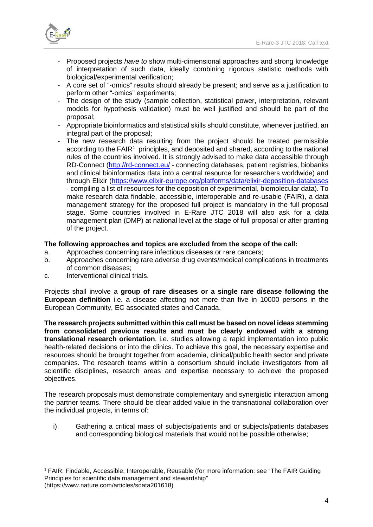

- Proposed projects *have to* show multi-dimensional approaches and strong knowledge of interpretation of such data, ideally combining rigorous statistic methods with biological/experimental verification;
- A core set of "-omics" results should already be present; and serve as a justification to perform other "-omics" experiments;
- The design of the study (sample collection, statistical power, interpretation, relevant models for hypothesis validation) must be well justified and should be part of the proposal;
- Appropriate bioinformatics and statistical skills should constitute, whenever justified, an integral part of the proposal;
- The new research data resulting from the project should be treated permissible according to the  $FAIR<sup>1</sup>$  $FAIR<sup>1</sup>$  $FAIR<sup>1</sup>$  principles, and deposited and shared, according to the national rules of the countries involved. It is strongly advised to make data accessible through RD-Connect [\(http://rd-connect.eu/](http://rd-connect.eu/) - connecting databases, patient registries, biobanks and clinical bioinformatics data into a central resource for researchers worldwide) and through Elixir [\(https://www.elixir-europe.org/platforms/data/elixir-deposition-databases](https://www.elixir-europe.org/platforms/data/elixir-deposition-databases) - compiling a list of resources for the deposition of experimental, biomolecular data). To make research data findable, accessible, interoperable and re-usable (FAIR), a data management strategy for the proposed full project is mandatory in the full proposal stage. Some countries involved in E-Rare JTC 2018 will also ask for a data management plan (DMP) at national level at the stage of full proposal or after granting of the project.

#### **The following approaches and topics are excluded from the scope of the call:**

- a. Approaches concerning rare infectious diseases or rare cancers;
- b. Approaches concerning rare adverse drug events/medical complications in treatments of common diseases;
- c. Interventional clinical trials.

Projects shall involve a **group of rare diseases or a single rare disease following the European definition** i.e. a disease affecting not more than five in 10000 persons in the European Community, EC associated states and Canada.

**The research projects submitted within this call must be based on novel ideas stemming from consolidated previous results and must be clearly endowed with a strong translational research orientation**, i.e. studies allowing a rapid implementation into public health-related decisions or into the clinics. To achieve this goal, the necessary expertise and resources should be brought together from academia, clinical/public health sector and private companies. The research teams within a consortium should include investigators from all scientific disciplines, research areas and expertise necessary to achieve the proposed objectives.

The research proposals must demonstrate complementary and synergistic interaction among the partner teams. There should be clear added value in the transnational collaboration over the individual projects, in terms of:

i) Gathering a critical mass of subjects/patients and or subjects/patients databases and corresponding biological materials that would not be possible otherwise;

<span id="page-3-0"></span><sup>&</sup>lt;sup>1</sup> FAIR: Findable, Accessible, Interoperable, Reusable (for more information: see "The FAIR Guiding Principles for scientific data management and stewardship" (https://www.nature.com/articles/sdata201618)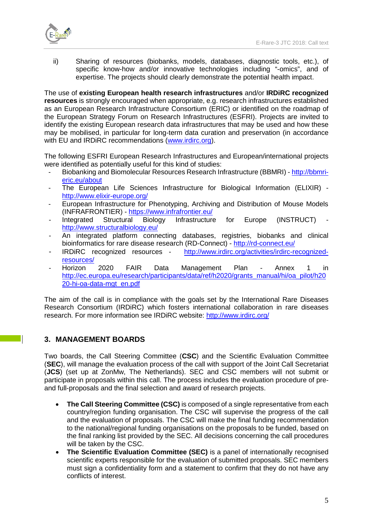

ii) Sharing of resources (biobanks, models, databases, diagnostic tools, etc.), of specific know-how and/or innovative technologies including "-omics", and of expertise. The projects should clearly demonstrate the potential health impact.

The use of **existing European health research infrastructures** and/or **IRDiRC recognized resources** is strongly encouraged when appropriate, e.g. research infrastructures established as an European Research Infrastructure Consortium (ERIC) or identified on the roadmap of the European Strategy Forum on Research Infrastructures (ESFRI). Projects are invited to identify the existing European research data infrastructures that may be used and how these may be mobilised, in particular for long-term data curation and preservation (in accordance with EU and IRDiRC recommendations [\(www.irdirc.org\)](file://FILESERVER-03/g-$/Team%201/E-Rare-3/JTC%202018/Docs%20JTC%202018/www.irdirc.org).

The following ESFRI European Research Infrastructures and European/international projects were identified as potentially useful for this kind of studies:

- Biobanking and Biomolecular Resources Research Infrastructure (BBMRI) [http://bbmri](http://bbmri-eric.eu/about)[eric.eu/about](http://bbmri-eric.eu/about)
- The European Life Sciences Infrastructure for Biological Information (ELIXIR) <http://www.elixir-europe.org/>
- European Infrastructure for Phenotyping, Archiving and Distribution of Mouse Models (INFRAFRONTIER) - <https://www.infrafrontier.eu/>
- Integrated Structural Biology Infrastructure for Europe (INSTRUCT) <http://www.structuralbiology.eu/>
- An integrated platform connecting databases, registries, biobanks and clinical bioinformatics for rare disease research (RD-Connect) - <http://rd-connect.eu/>
- IRDiRC recognized resources [http://www.irdirc.org/activities/irdirc-recognized](http://www.irdirc.org/activities/irdirc-recognized-resources/)[resources/](http://www.irdirc.org/activities/irdirc-recognized-resources/)
- Horizon 2020 FAIR Data Management Plan Annex 1 in [http://ec.europa.eu/research/participants/data/ref/h2020/grants\\_manual/hi/oa\\_pilot/h20](http://ec.europa.eu/research/participants/data/ref/h2020/grants_manual/hi/oa_pilot/h2020-hi-oa-data-mgt_en.pdf) [20-hi-oa-data-mgt\\_en.pdf](http://ec.europa.eu/research/participants/data/ref/h2020/grants_manual/hi/oa_pilot/h2020-hi-oa-data-mgt_en.pdf)

The aim of the call is in compliance with the goals set by the International Rare Diseases Research Consortium (IRDiRC) which fosters international collaboration in rare diseases research. For more information see IRDiRC website:<http://www.irdirc.org/>

# **3. MANAGEMENT BOARDS**

Two boards, the Call Steering Committee (**CSC**) and the Scientific Evaluation Committee (**SEC**), will manage the evaluation process of the call with support of the Joint Call Secretariat (**JCS**) (set up at ZonMw, The Netherlands). SEC and CSC members will not submit or participate in proposals within this call. The process includes the evaluation procedure of preand full-proposals and the final selection and award of research projects.

- **The Call Steering Committee (CSC)** is composed of a single representative from each country/region funding organisation. The CSC will supervise the progress of the call and the evaluation of proposals. The CSC will make the final funding recommendation to the national/regional funding organisations on the proposals to be funded, based on the final ranking list provided by the SEC. All decisions concerning the call procedures will be taken by the CSC.
- **The Scientific Evaluation Committee (SEC)** is a panel of internationally recognised scientific experts responsible for the evaluation of submitted proposals. SEC members must sign a confidentiality form and a statement to confirm that they do not have any conflicts of interest.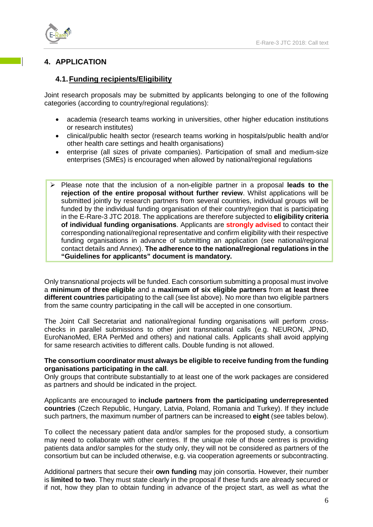

# **4. APPLICATION**

# **4.1.Funding recipients/Eligibility**

Joint research proposals may be submitted by applicants belonging to one of the following categories (according to country/regional regulations):

- academia (research teams working in universities, other higher education institutions or research institutes)
- clinical/public health sector (research teams working in hospitals/public health and/or other health care settings and health organisations)
- enterprise (all sizes of private companies). Participation of small and medium-size enterprises (SMEs) is encouraged when allowed by national/regional regulations
- Please note that the inclusion of a non-eligible partner in a proposal **leads to the rejection of the entire proposal without further review**. Whilst applications will be submitted jointly by research partners from several countries, individual groups will be funded by the individual funding organisation of their country/region that is participating in the E-Rare-3 JTC 2018. The applications are therefore subjected to **eligibility criteria of individual funding organisations**. Applicants are **strongly advised** to contact their corresponding national/regional representative and confirm eligibility with their respective funding organisations in advance of submitting an application (see national/regional contact details and Annex). **The adherence to the national/regional regulations in the "Guidelines for applicants" document is mandatory.**

Only transnational projects will be funded. Each consortium submitting a proposal must involve a **minimum of three eligible** and a **maximum of six eligible partners** from **at least three different countries** participating to the call (see list above). No more than two eligible partners from the same country participating in the call will be accepted in one consortium.

The Joint Call Secretariat and national/regional funding organisations will perform crosschecks in parallel submissions to other joint transnational calls (e.g. NEURON, JPND, EuroNanoMed, ERA PerMed and others) and national calls. Applicants shall avoid applying for same research activities to different calls. Double funding is not allowed.

#### **The consortium coordinator must always be eligible to receive funding from the funding organisations participating in the call**.

Only groups that contribute substantially to at least one of the work packages are considered as partners and should be indicated in the project.

Applicants are encouraged to **include partners from the participating underrepresented countries** (Czech Republic, Hungary, Latvia, Poland, Romania and Turkey). If they include such partners, the maximum number of partners can be increased to **eight** (see tables below).

To collect the necessary patient data and/or samples for the proposed study, a consortium may need to collaborate with other centres. If the unique role of those centres is providing patients data and/or samples for the study only, they will not be considered as partners of the consortium but can be included otherwise, e.g. via cooperation agreements or subcontracting.

Additional partners that secure their **own funding** may join consortia. However, their number is **limited to two**. They must state clearly in the proposal if these funds are already secured or if not, how they plan to obtain funding in advance of the project start, as well as what the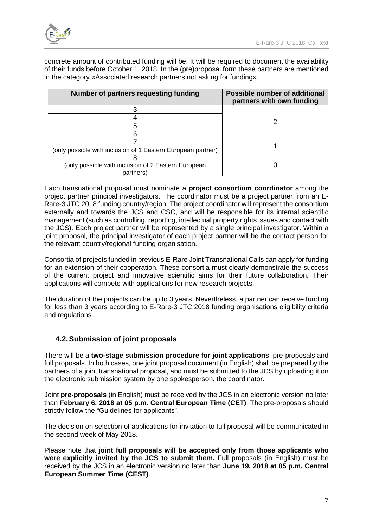

concrete amount of contributed funding will be. It will be required to document the availability of their funds before October 1, 2018. In the (pre)proposal form these partners are mentioned in the category «Associated research partners not asking for funding».

| Number of partners requesting funding                        | Possible number of additional<br>partners with own funding |
|--------------------------------------------------------------|------------------------------------------------------------|
|                                                              |                                                            |
|                                                              |                                                            |
|                                                              |                                                            |
|                                                              |                                                            |
|                                                              |                                                            |
| (only possible with inclusion of 1 Eastern European partner) |                                                            |
|                                                              |                                                            |
| (only possible with inclusion of 2 Eastern European          |                                                            |
| partners)                                                    |                                                            |

Each transnational proposal must nominate a **project consortium coordinator** among the project partner principal investigators. The coordinator must be a project partner from an E-Rare-3 JTC 2018 funding country/region. The project coordinator will represent the consortium externally and towards the JCS and CSC, and will be responsible for its internal scientific management (such as controlling, reporting, intellectual property rights issues and contact with the JCS). Each project partner will be represented by a single principal investigator. Within a joint proposal, the principal investigator of each project partner will be the contact person for the relevant country/regional funding organisation.

Consortia of projects funded in previous E-Rare Joint Transnational Calls can apply for funding for an extension of their cooperation. These consortia must clearly demonstrate the success of the current project and innovative scientific aims for their future collaboration. Their applications will compete with applications for new research projects.

The duration of the projects can be up to 3 years. Nevertheless, a partner can receive funding for less than 3 years according to E-Rare-3 JTC 2018 funding organisations eligibility criteria and regulations.

# **4.2.Submission of joint proposals**

There will be a **two-stage submission procedure for joint applications**: pre-proposals and full proposals. In both cases, one joint proposal document (in English) shall be prepared by the partners of a joint transnational proposal, and must be submitted to the JCS by uploading it on the electronic submission system by one spokesperson, the coordinator.

Joint **pre-proposals** (in English) must be received by the JCS in an electronic version no later than **February 6, 2018 at 05 p.m. Central European Time (CET)**. The pre-proposals should strictly follow the "Guidelines for applicants".

The decision on selection of applications for invitation to full proposal will be communicated in the second week of May 2018.

Please note that **joint full proposals will be accepted only from those applicants who were explicitly invited by the JCS to submit them.** Full proposals (in English) must be received by the JCS in an electronic version no later than **June 19, 2018 at 05 p.m. Central European Summer Time (CEST)**.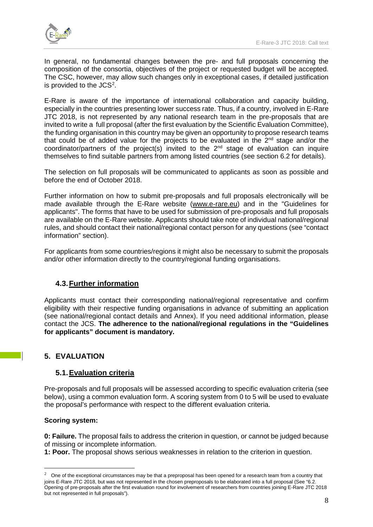

In general, no fundamental changes between the pre- and full proposals concerning the composition of the consortia, objectives of the project or requested budget will be accepted. The CSC, however, may allow such changes only in exceptional cases, if detailed justification is provided to the  $JCS<sup>2</sup>$  $JCS<sup>2</sup>$  $JCS<sup>2</sup>$ .

E-Rare is aware of the importance of international collaboration and capacity building, especially in the countries presenting lower success rate. Thus, if a country, involved in E-Rare JTC 2018, is not represented by any national research team in the pre-proposals that are invited to write a full proposal (after the first evaluation by the Scientific Evaluation Committee), the funding organisation in this country may be given an opportunity to propose research teams that could be of added value for the projects to be evaluated in the  $2<sup>nd</sup>$  stage and/or the coordinator/partners of the project(s) invited to the  $2^{nd}$  stage of evaluation can inquire themselves to find suitable partners from among listed countries (see section 6.2 for details).

The selection on full proposals will be communicated to applicants as soon as possible and before the end of October 2018.

Further information on how to submit pre-proposals and full proposals electronically will be made available through the E-Rare website [\(www.e-rare.eu\)](http://www.e-rare.eu/) and in the "Guidelines for applicants". The forms that have to be used for submission of pre-proposals and full proposals are available on the E-Rare website. Applicants should take note of individual national/regional rules, and should contact their national/regional contact person for any questions (see "contact information" section).

For applicants from some countries/regions it might also be necessary to submit the proposals and/or other information directly to the country/regional funding organisations.

# **4.3.Further information**

Applicants must contact their corresponding national/regional representative and confirm eligibility with their respective funding organisations in advance of submitting an application (see national/regional contact details and Annex). If you need additional information, please contact the JCS. **The adherence to the national/regional regulations in the "Guidelines for applicants" document is mandatory.**

# **5. EVALUATION**

#### **5.1.Evaluation criteria**

Pre-proposals and full proposals will be assessed according to specific evaluation criteria (see below), using a common evaluation form. A scoring system from 0 to 5 will be used to evaluate the proposal's performance with respect to the different evaluation criteria.

#### **Scoring system:**

**0: Failure.** The proposal fails to address the criterion in question, or cannot be judged because of missing or incomplete information.

**1: Poor.** The proposal shows serious weaknesses in relation to the criterion in question.

<span id="page-7-0"></span> $2$  One of the exceptional circumstances may be that a preproposal has been opened for a research team from a country that joins E-Rare JTC 2018, but was not represented in the chosen preproposals to be elaborated into a full proposal (See "6.2. Opening of pre-proposals after the first evaluation round for involvement of researchers from countries joining E-Rare JTC 2018 but not represented in full proposals").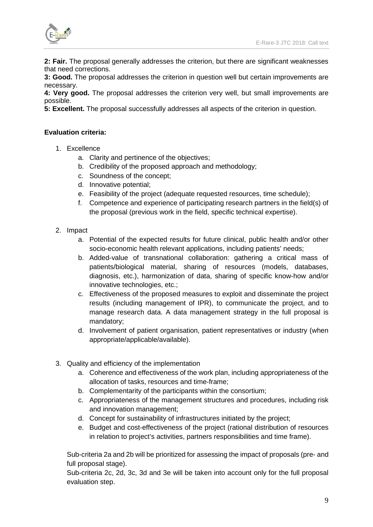

**2: Fair.** The proposal generally addresses the criterion, but there are significant weaknesses that need corrections.

**3: Good.** The proposal addresses the criterion in question well but certain improvements are necessary.

**4: Very good.** The proposal addresses the criterion very well, but small improvements are possible.

**5: Excellent.** The proposal successfully addresses all aspects of the criterion in question.

#### **Evaluation criteria:**

- 1. Excellence
	- a. Clarity and pertinence of the objectives;
	- b. Credibility of the proposed approach and methodology;
	- c. Soundness of the concept;
	- d. Innovative potential;
	- e. Feasibility of the project (adequate requested resources, time schedule);
	- f. Competence and experience of participating research partners in the field(s) of the proposal (previous work in the field, specific technical expertise).
- 2. Impact
	- a. Potential of the expected results for future clinical, public health and/or other socio-economic health relevant applications, including patients' needs;
	- b. Added-value of transnational collaboration: gathering a critical mass of patients/biological material, sharing of resources (models, databases, diagnosis, etc.), harmonization of data, sharing of specific know-how and/or innovative technologies, etc.;
	- c. Effectiveness of the proposed measures to exploit and disseminate the project results (including management of IPR), to communicate the project, and to manage research data. A data management strategy in the full proposal is mandatory;
	- d. Involvement of patient organisation, patient representatives or industry (when appropriate/applicable/available).
- 3. Quality and efficiency of the implementation
	- a. Coherence and effectiveness of the work plan, including appropriateness of the allocation of tasks, resources and time-frame;
	- b. Complementarity of the participants within the consortium;
	- c. Appropriateness of the management structures and procedures, including risk and innovation management;
	- d. Concept for sustainability of infrastructures initiated by the project;
	- e. Budget and cost-effectiveness of the project (rational distribution of resources in relation to project's activities, partners responsibilities and time frame).

Sub-criteria 2a and 2b will be prioritized for assessing the impact of proposals (pre- and full proposal stage).

Sub-criteria 2c, 2d, 3c, 3d and 3e will be taken into account only for the full proposal evaluation step.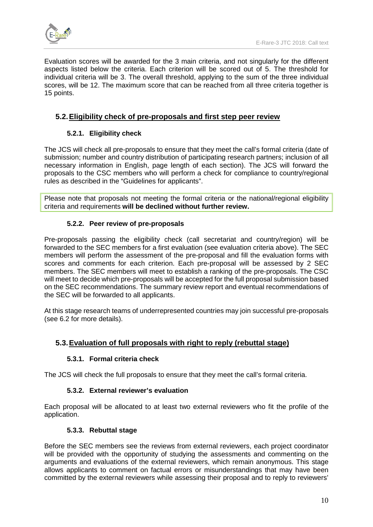

Evaluation scores will be awarded for the 3 main criteria, and not singularly for the different aspects listed below the criteria. Each criterion will be scored out of 5. The threshold for individual criteria will be 3. The overall threshold, applying to the sum of the three individual scores, will be 12. The maximum score that can be reached from all three criteria together is 15 points.

# **5.2.Eligibility check of pre-proposals and first step peer review**

# **5.2.1. Eligibility check**

The JCS will check all pre-proposals to ensure that they meet the call's formal criteria (date of submission; number and country distribution of participating research partners; inclusion of all necessary information in English, page length of each section). The JCS will forward the proposals to the CSC members who will perform a check for compliance to country/regional rules as described in the "Guidelines for applicants".

Please note that proposals not meeting the formal criteria or the national/regional eligibility criteria and requirements **will be declined without further review.**

# **5.2.2. Peer review of pre-proposals**

Pre-proposals passing the eligibility check (call secretariat and country/region) will be forwarded to the SEC members for a first evaluation (see evaluation criteria above). The SEC members will perform the assessment of the pre-proposal and fill the evaluation forms with scores and comments for each criterion. Each pre-proposal will be assessed by 2 SEC members. The SEC members will meet to establish a ranking of the pre-proposals. The CSC will meet to decide which pre-proposals will be accepted for the full proposal submission based on the SEC recommendations. The summary review report and eventual recommendations of the SEC will be forwarded to all applicants.

At this stage research teams of underrepresented countries may join successful pre-proposals (see 6.2 for more details).

# **5.3.Evaluation of full proposals with right to reply (rebuttal stage)**

#### **5.3.1. Formal criteria check**

The JCS will check the full proposals to ensure that they meet the call's formal criteria.

#### **5.3.2. External reviewer's evaluation**

Each proposal will be allocated to at least two external reviewers who fit the profile of the application.

#### **5.3.3. Rebuttal stage**

Before the SEC members see the reviews from external reviewers, each project coordinator will be provided with the opportunity of studying the assessments and commenting on the arguments and evaluations of the external reviewers, which remain anonymous. This stage allows applicants to comment on factual errors or misunderstandings that may have been committed by the external reviewers while assessing their proposal and to reply to reviewers'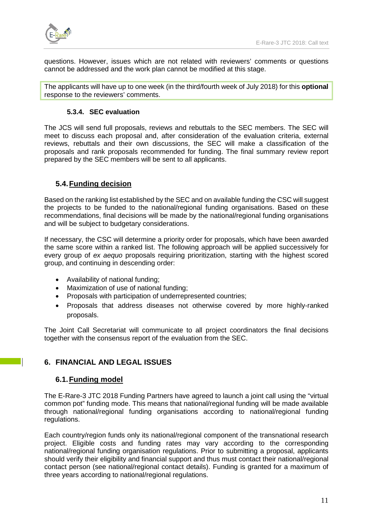

questions. However, issues which are not related with reviewers' comments or questions cannot be addressed and the work plan cannot be modified at this stage.

The applicants will have up to one week (in the third/fourth week of July 2018) for this **optional**  response to the reviewers' comments.

#### **5.3.4. SEC evaluation**

The JCS will send full proposals, reviews and rebuttals to the SEC members. The SEC will meet to discuss each proposal and, after consideration of the evaluation criteria, external reviews, rebuttals and their own discussions, the SEC will make a classification of the proposals and rank proposals recommended for funding. The final summary review report prepared by the SEC members will be sent to all applicants.

# **5.4.Funding decision**

Based on the ranking list established by the SEC and on available funding the CSC will suggest the projects to be funded to the national/regional funding organisations. Based on these recommendations, final decisions will be made by the national/regional funding organisations and will be subject to budgetary considerations.

If necessary, the CSC will determine a priority order for proposals, which have been awarded the same score within a ranked list. The following approach will be applied successively for every group of *ex aequo* proposals requiring prioritization, starting with the highest scored group, and continuing in descending order:

- Availability of national funding;
- Maximization of use of national funding;
- Proposals with participation of underrepresented countries;
- Proposals that address diseases not otherwise covered by more highly-ranked proposals.

The Joint Call Secretariat will communicate to all project coordinators the final decisions together with the consensus report of the evaluation from the SEC.

# **6. FINANCIAL AND LEGAL ISSUES**

# **6.1.Funding model**

The E-Rare-3 JTC 2018 Funding Partners have agreed to launch a joint call using the "virtual common pot" funding mode. This means that national/regional funding will be made available through national/regional funding organisations according to national/regional funding regulations.

Each country/region funds only its national/regional component of the transnational research project. Eligible costs and funding rates may vary according to the corresponding national/regional funding organisation regulations. Prior to submitting a proposal, applicants should verify their eligibility and financial support and thus must contact their national/regional contact person (see national/regional contact details). Funding is granted for a maximum of three years according to national/regional regulations.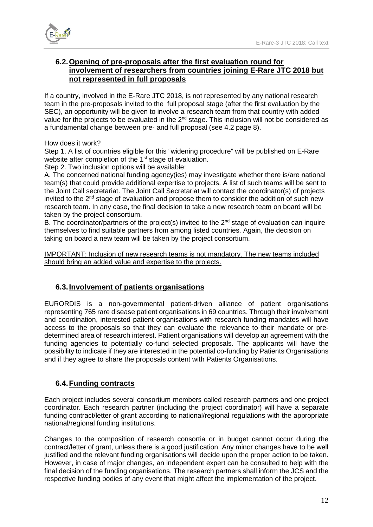

# **6.2.Opening of pre-proposals after the first evaluation round for involvement of researchers from countries joining E-Rare JTC 2018 but not represented in full proposals**

If a country, involved in the E-Rare JTC 2018, is not represented by any national research team in the pre-proposals invited to the full proposal stage (after the first evaluation by the SEC), an opportunity will be given to involve a research team from that country with added value for the projects to be evaluated in the 2<sup>nd</sup> stage. This inclusion will not be considered as a fundamental change between pre- and full proposal (see 4.2 page 8).

#### How does it work?

Step 1. A list of countries eligible for this "widening procedure" will be published on E-Rare website after completion of the 1<sup>st</sup> stage of evaluation.

Step 2. Two inclusion options will be available:

A. The concerned national funding agency(ies) may investigate whether there is/are national team(s) that could provide additional expertise to projects. A list of such teams will be sent to the Joint Call secretariat. The Joint Call Secretariat will contact the coordinator(s) of projects invited to the  $2<sup>nd</sup>$  stage of evaluation and propose them to consider the addition of such new research team. In any case, the final decision to take a new research team on board will be taken by the project consortium.

B. The coordinator/partners of the project(s) invited to the  $2<sup>nd</sup>$  stage of evaluation can inquire themselves to find suitable partners from among listed countries. Again, the decision on taking on board a new team will be taken by the project consortium.

IMPORTANT: Inclusion of new research teams is not mandatory. The new teams included should bring an added value and expertise to the projects.

# **6.3.Involvement of patients organisations**

EURORDIS is a non-governmental patient-driven alliance of patient organisations representing 765 rare disease patient organisations in 69 countries. Through their involvement and coordination, interested patient organisations with research funding mandates will have access to the proposals so that they can evaluate the relevance to their mandate or predetermined area of research interest. Patient organisations will develop an agreement with the funding agencies to potentially co-fund selected proposals. The applicants will have the possibility to indicate if they are interested in the potential co-funding by Patients Organisations and if they agree to share the proposals content with Patients Organisations.

# **6.4.Funding contracts**

Each project includes several consortium members called research partners and one project coordinator. Each research partner (including the project coordinator) will have a separate funding contract/letter of grant according to national/regional regulations with the appropriate national/regional funding institutions.

Changes to the composition of research consortia or in budget cannot occur during the contract/letter of grant, unless there is a good justification. Any minor changes have to be well justified and the relevant funding organisations will decide upon the proper action to be taken. However, in case of major changes, an independent expert can be consulted to help with the final decision of the funding organisations. The research partners shall inform the JCS and the respective funding bodies of any event that might affect the implementation of the project.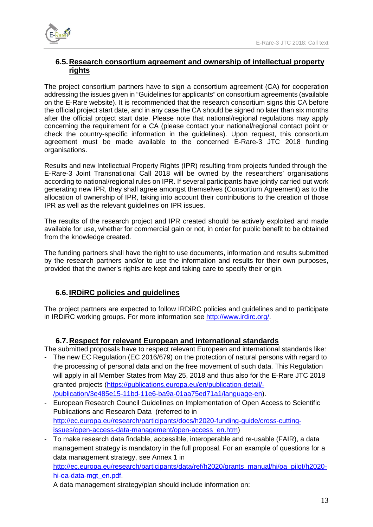

# **6.5.Research consortium agreement and ownership of intellectual property rights**

The project consortium partners have to sign a consortium agreement (CA) for cooperation addressing the issues given in "Guidelines for applicants" on consortium agreements (available on the E-Rare website). It is recommended that the research consortium signs this CA before the official project start date, and in any case the CA should be signed no later than six months after the official project start date. Please note that national/regional regulations may apply concerning the requirement for a CA (please contact your national/regional contact point or check the country-specific information in the guidelines). Upon request, this consortium agreement must be made available to the concerned E-Rare-3 JTC 2018 funding organisations.

Results and new Intellectual Property Rights (IPR) resulting from projects funded through the E-Rare-3 Joint Transnational Call 2018 will be owned by the researchers' organisations according to national/regional rules on IPR. If several participants have jointly carried out work generating new IPR, they shall agree amongst themselves (Consortium Agreement) as to the allocation of ownership of IPR, taking into account their contributions to the creation of those IPR as well as the relevant guidelines on IPR issues.

The results of the research project and IPR created should be actively exploited and made available for use, whether for commercial gain or not, in order for public benefit to be obtained from the knowledge created.

The funding partners shall have the right to use documents, information and results submitted by the research partners and/or to use the information and results for their own purposes, provided that the owner's rights are kept and taking care to specify their origin.

# **6.6.IRDiRC policies and guidelines**

The project partners are expected to follow IRDiRC policies and guidelines and to participate in IRDiRC working groups. For more information see [http://www.irdirc.org/.](http://www.irdirc.org/)

# **6.7.Respect for relevant European and international standards**

The submitted proposals have to respect relevant European and international standards like:

- The new EC Regulation (EC 2016/679) on the protection of natural persons with regard to the processing of personal data and on the free movement of such data. This Regulation will apply in all Member States from May 25, 2018 and thus also for the E-Rare JTC 2018 granted projects [\(https://publications.europa.eu/en/publication-detail/-](https://publications.europa.eu/en/publication-detail/-/publication/3e485e15-11bd-11e6-ba9a-01aa75ed71a1/language-en) [/publication/3e485e15-11bd-11e6-ba9a-01aa75ed71a1/language-en\)](https://publications.europa.eu/en/publication-detail/-/publication/3e485e15-11bd-11e6-ba9a-01aa75ed71a1/language-en).
- European Research Council Guidelines on Implementation of Open Access to Scientific Publications and Research Data (referred to in [http://ec.europa.eu/research/participants/docs/h2020-funding-guide/cross-cutting](http://ec.europa.eu/research/participants/docs/h2020-funding-guide/cross-cutting-issues/open-access-data-management/open-access_en.htm)[issues/open-access-data-management/open-access\\_en.htm\)](http://ec.europa.eu/research/participants/docs/h2020-funding-guide/cross-cutting-issues/open-access-data-management/open-access_en.htm)

To make research data findable, accessible, interoperable and re-usable (FAIR), a data management strategy is mandatory in the full proposal. For an example of questions for a data management strategy, see Annex 1 in [http://ec.europa.eu/research/participants/data/ref/h2020/grants\\_manual/hi/oa\\_pilot/h2020](http://ec.europa.eu/research/participants/data/ref/h2020/grants_manual/hi/oa_pilot/h2020-hi-oa-data-mgt_en.pdf) [hi-oa-data-mgt\\_en.pdf.](http://ec.europa.eu/research/participants/data/ref/h2020/grants_manual/hi/oa_pilot/h2020-hi-oa-data-mgt_en.pdf)

A data management strategy/plan should include information on: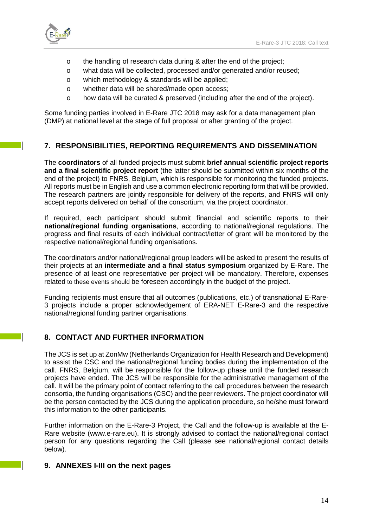

- o the handling of research data during & after the end of the project;
- o what data will be collected, processed and/or generated and/or reused;
- o which methodology & standards will be applied;
- o whether data will be shared/made open access;
- $\circ$  how data will be curated & preserved (including after the end of the project).

Some funding parties involved in E-Rare JTC 2018 may ask for a data management plan (DMP) at national level at the stage of full proposal or after granting of the project.

#### **7. RESPONSIBILITIES, REPORTING REQUIREMENTS AND DISSEMINATION**

The **coordinators** of all funded projects must submit **brief annual scientific project reports and a final scientific project report** (the latter should be submitted within six months of the end of the project) to FNRS, Belgium, which is responsible for monitoring the funded projects. All reports must be in English and use a common electronic reporting form that will be provided. The research partners are jointly responsible for delivery of the reports, and FNRS will only accept reports delivered on behalf of the consortium, via the project coordinator.

If required, each participant should submit financial and scientific reports to their **national/regional funding organisations**, according to national/regional regulations. The progress and final results of each individual contract/letter of grant will be monitored by the respective national/regional funding organisations.

The coordinators and/or national/regional group leaders will be asked to present the results of their projects at an **intermediate and a final status symposium** organized by E-Rare. The presence of at least one representative per project will be mandatory. Therefore, expenses related to these events should be foreseen accordingly in the budget of the project.

Funding recipients must ensure that all outcomes (publications, etc.) of transnational E-Rare-3 projects include a proper acknowledgement of ERA-NET E-Rare-3 and the respective national/regional funding partner organisations.

# **8. CONTACT AND FURTHER INFORMATION**

The JCS is set up at ZonMw (Netherlands Organization for Health Research and Development) to assist the CSC and the national/regional funding bodies during the implementation of the call. FNRS, Belgium, will be responsible for the follow-up phase until the funded research projects have ended. The JCS will be responsible for the administrative management of the call. It will be the primary point of contact referring to the call procedures between the research consortia, the funding organisations (CSC) and the peer reviewers. The project coordinator will be the person contacted by the JCS during the application procedure, so he/she must forward this information to the other participants.

Further information on the E-Rare-3 Project, the Call and the follow-up is available at the E-Rare website (www.e-rare.eu). It is strongly advised to contact the national/regional contact person for any questions regarding the Call (please see national/regional contact details below).

#### **9. ANNEXES I-III on the next pages**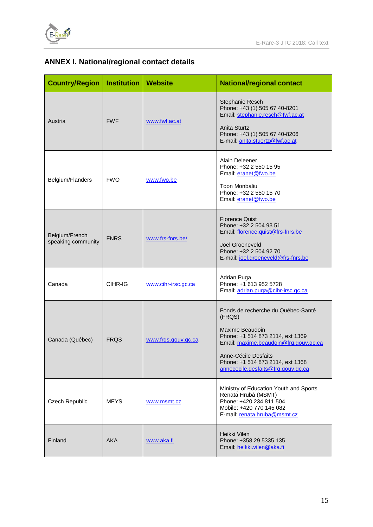

# **ANNEX I. National/regional contact details**

| <b>Country/Region</b>                | <b>Institution   Website</b> |                     | <b>National/regional contact</b>                                                                                                                                                                                                               |  |  |
|--------------------------------------|------------------------------|---------------------|------------------------------------------------------------------------------------------------------------------------------------------------------------------------------------------------------------------------------------------------|--|--|
| Austria                              | <b>FWF</b>                   | www.fwf.ac.at       | Stephanie Resch<br>Phone: +43 (1) 505 67 40-8201<br>Email: stephanie.resch@fwf.ac.at<br>Anita Stürtz<br>Phone: +43 (1) 505 67 40-8206<br>E-mail: anita.stuertz@fwf.ac.at                                                                       |  |  |
| Belgium/Flanders                     | <b>FWO</b>                   | www.fwo.be          | Alain Deleener<br>Phone: +32 2 550 15 95<br>Email: eranet@fwo.be<br>Toon Monbaliu<br>Phone: +32 2 550 15 70<br>Email: eranet@fwo.be                                                                                                            |  |  |
| Belgium/French<br>speaking community | <b>FNRS</b>                  | www.frs-fnrs.be/    | <b>Florence Quist</b><br>Phone: +32 2 504 93 51<br>Email: florence.quist@frs-fnrs.be<br>Joël Groeneveld<br>Phone: +32 2 504 92 70<br>E-mail: joel.groeneveld@frs-fnrs.be                                                                       |  |  |
| Canada                               | CIHR-IG                      | www.cihr-irsc.gc.ca | Adrian Puga<br>Phone: +1 613 952 5728<br>Email: adrian.puga@cihr-irsc.gc.ca                                                                                                                                                                    |  |  |
| Canada (Québec)                      | <b>FRQS</b>                  | www.frgs.gouv.gc.ca | Fonds de recherche du Québec-Santé<br>(FRQS)<br>Maxime Beaudoin<br>Phone: +1 514 873 2114, ext 1369<br>Email: maxime.beaudoin@frq.gouv.qc.ca<br>Anne-Cécile Desfaits<br>Phone: +1 514 873 2114, ext 1368<br>annececile.desfaits@frq.gouv.gc.ca |  |  |
| Czech Republic                       | <b>MEYS</b>                  | www.msmt.cz         | Ministry of Education Youth and Sports<br>Renata Hrubá (MSMT)<br>Phone: +420 234 811 504<br>Mobile: +420 770 145 082<br>E-mail: renata.hruba@msmt.cz                                                                                           |  |  |
| Finland                              | <b>AKA</b>                   | www.aka.fi          | Heikki Vilen<br>Phone: +358 29 5335 135<br>Email: heikki.vilen@aka.fi                                                                                                                                                                          |  |  |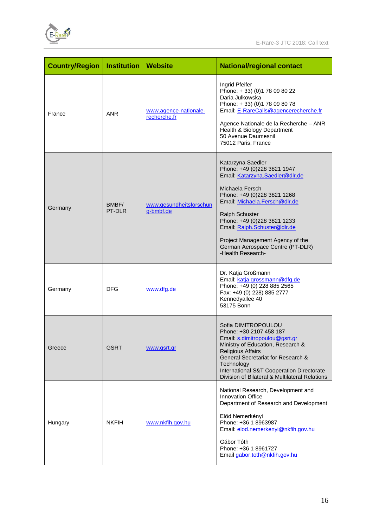

| <b>Country/Region</b> | <b>Institution</b> | ∣ Website                             | <b>National/regional contact</b>                                                                                                                                                                                                                                                                                                                     |  |
|-----------------------|--------------------|---------------------------------------|------------------------------------------------------------------------------------------------------------------------------------------------------------------------------------------------------------------------------------------------------------------------------------------------------------------------------------------------------|--|
| France                | <b>ANR</b>         | www.agence-nationale-<br>recherche.fr | Ingrid Pfeifer<br>Phone: +33) (0) 178 09 80 22<br>Daria Julkowska<br>Phone: +33) (0)178 09 80 78<br>Email: E-RareCalls@agencerecherche.fr<br>Agence Nationale de la Recherche - ANR<br>Health & Biology Department<br>50 Avenue Daumesnil<br>75012 Paris, France                                                                                     |  |
| Germany               | BMBF/<br>PT-DLR    | www.gesundheitsforschun<br>g-bmbf.de  | Katarzyna Saedler<br>Phone: +49 (0)228 3821 1947<br>Email: Katarzyna.Saedler@dlr.de<br>Michaela Fersch<br>Phone: +49 (0)228 3821 1268<br>Email: Michaela.Fersch@dlr.de<br>Ralph Schuster<br>Phone: +49 (0)228 3821 1233<br>Email: Ralph.Schuster@dlr.de<br>Project Management Agency of the<br>German Aerospace Centre (PT-DLR)<br>-Health Research- |  |
| Germany               | <b>DFG</b>         | www.dfg.de                            | Dr. Katja Großmann<br>Email: katja.grossmann@dfg.de<br>Phone: +49 (0) 228 885 2565<br>Fax: +49 (0) 228) 885 2777<br>Kennedyallee 40<br>53175 Bonn                                                                                                                                                                                                    |  |
| Greece                | <b>GSRT</b>        | www.gsrt.gr                           | Sofia DIMITROPOULOU<br>Phone: +30 2107 458 187<br>Email: <u>s.dimitropoulou@gsrt.gr</u><br>Ministry of Education, Research &<br><b>Religious Affairs</b><br>General Secretariat for Research &<br>Technology<br>International S&T Cooperation Directorate<br>Division of Bilateral & Multilateral Relations                                          |  |
| Hungary               | <b>NKFIH</b>       | www.nkfih.gov.hu                      | National Research, Development and<br>Innovation Office<br>Department of Research and Development<br>Előd Nemerkényi<br>Phone: +36 1 8963987<br>Email: elod.nemerkenyi@nkfih.gov.hu<br>Gábor Tóth<br>Phone: +36 1 8961727<br>Email gabor.toth@nkfih.gov.hu                                                                                           |  |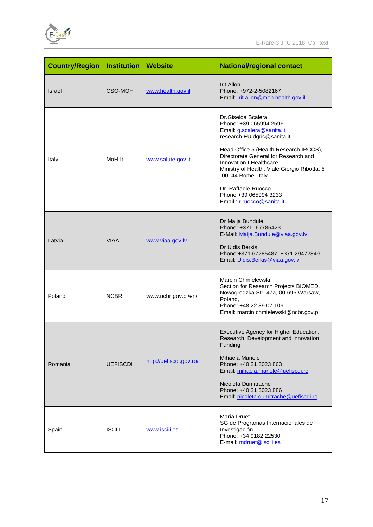

| <b>Country/Region</b> | <b>Institution</b> | Website                 | <b>National/regional contact</b>                                                                                                                                                                                                                                                                                                                                          |  |  |
|-----------------------|--------------------|-------------------------|---------------------------------------------------------------------------------------------------------------------------------------------------------------------------------------------------------------------------------------------------------------------------------------------------------------------------------------------------------------------------|--|--|
| <b>Israel</b>         | CSO-MOH            | www.health.gov.il       | <b>Irit Allon</b><br>Phone: +972-2-5082167<br>Email: <i>Irit.allon@moh.health.gov.il</i>                                                                                                                                                                                                                                                                                  |  |  |
| Italy                 | MoH-It             | www.salute.gov.it       | Dr.Giselda Scalera<br>Phone: +39 065994 2596<br>Email: g.scalera@sanita.it<br>research.EU.dgric@sanita.it<br>Head Office 5 (Health Research IRCCS),<br>Directorate General for Research and<br>Innovation I Healthcare<br>Ministry of Health, Viale Giorgio Ribotta, 5<br>-00144 Rome, Italy<br>Dr. Raffaele Ruocco<br>Phone +39 065994 3233<br>Email: r.ruocco@sanita.it |  |  |
| Latvia                | <b>VIAA</b>        | www.viaa.gov.lv         | Dr Maija Bundule<br>Phone: +371- 67785423<br>E-Mail: Maija.Bundule@viaa.gov.lv<br>Dr Uldis Berkis<br>Phone:+371 67785487; +371 29472349<br>Email: Uldis.Berkis@viaa.gov.lv                                                                                                                                                                                                |  |  |
| Poland                | <b>NCBR</b>        | www.ncbr.gov.pl/en/     | Marcin Chmielewski<br>Section for Research Projects BIOMED,<br>Nowogrodzka Str. 47a, 00-695 Warsaw,<br>Poland,<br>Phone: +48 22 39 07 109<br>Email: marcin.chmielewski@ncbr.gov.pl                                                                                                                                                                                        |  |  |
| Romania               | <b>UEFISCDI</b>    | http://uefiscdi.gov.ro/ | Executive Agency for Higher Education,<br>Research, Development and Innovation<br>Funding<br>Mihaela Manole<br>Phone: +40 21 3023 863<br>Email: mihaela.manole@uefiscdi.ro<br>Nicoleta Dumitrache<br>Phone: +40 21 3023 886<br>Email: nicoleta.dumitrache@uefiscdi.ro                                                                                                     |  |  |
| Spain                 | <b>ISCIII</b>      | www.isciii.es           | María Druet<br>SG de Programas Internacionales de<br>Investigación<br>Phone: +34 9182 22530<br>E-mail: mdruet@isciii.es                                                                                                                                                                                                                                                   |  |  |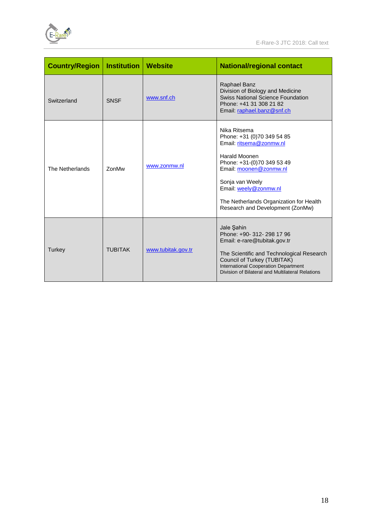

| <b>Country/Region</b> | <b>Institution</b> | <b>Website</b>     | <b>National/regional contact</b>                                                                                                                                                                                                                                                 |  |  |
|-----------------------|--------------------|--------------------|----------------------------------------------------------------------------------------------------------------------------------------------------------------------------------------------------------------------------------------------------------------------------------|--|--|
| Switzerland           | <b>SNSF</b>        | www.snf.ch         | Raphael Banz<br>Division of Biology and Medicine<br><b>Swiss National Science Foundation</b><br>Phone: +41 31 308 21 82<br>Email: raphael.banz@snf.ch                                                                                                                            |  |  |
| The Netherlands       | <b>ZonMw</b>       | www.zonmw.nl       | Nika Ritsema<br>Phone: +31 (0)70 349 54 85<br>Email: ritsema@zonmw.nl<br><b>Harald Moonen</b><br>Phone: +31-(0)70 349 53 49<br>Email: moonen@zonmw.nl<br>Sonja van Weely<br>Email: weely@zonmw.nl<br>The Netherlands Organization for Health<br>Research and Development (ZonMw) |  |  |
| Turkey                | <b>TUBITAK</b>     | www.tubitak.gov.tr | Jale Sahin<br>Phone: +90- 312- 298 17 96<br>Email: e-rare@tubitak.gov.tr<br>The Scientific and Technological Research<br>Council of Turkey (TUBITAK)<br><b>International Cooperation Department</b><br>Division of Bilateral and Multilateral Relations                          |  |  |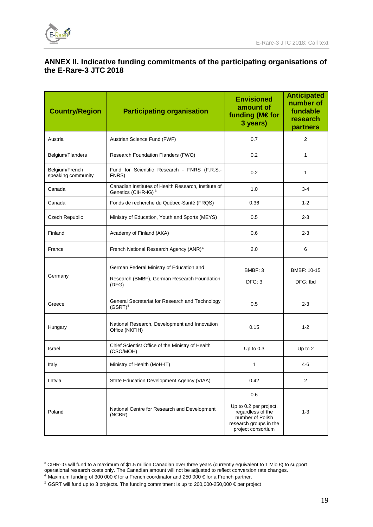

 $\overline{a}$ 

# **ANNEX II. Indicative funding commitments of the participating organisations of the E-Rare-3 JTC 2018**

| <b>Country/Region</b>                | <b>Participating organisation</b>                                                                                                                                                | <b>Envisioned</b><br>amount of<br>funding (M€for<br>3 years) | <b>Anticipated</b><br>number of<br>fundable<br>research<br>partners |
|--------------------------------------|----------------------------------------------------------------------------------------------------------------------------------------------------------------------------------|--------------------------------------------------------------|---------------------------------------------------------------------|
| Austria                              | Austrian Science Fund (FWF)                                                                                                                                                      | 0.7                                                          | $\mathbf{2}$                                                        |
| Belgium/Flanders                     | Research Foundation Flanders (FWO)                                                                                                                                               | 0.2                                                          | 1                                                                   |
| Belgium/French<br>speaking community | Fund for Scientific Research - FNRS (F.R.S.-<br>FNRS)                                                                                                                            | 0.2                                                          | 1                                                                   |
| Canada                               | Canadian Institutes of Health Research, Institute of<br>Genetics (CIHR-IG) <sup>3</sup>                                                                                          | 1.0                                                          | 3-4                                                                 |
| Canada                               | Fonds de recherche du Québec-Santé (FRQS)                                                                                                                                        | 0.36                                                         | $1 - 2$                                                             |
| Czech Republic                       | Ministry of Education, Youth and Sports (MEYS)                                                                                                                                   | 0.5                                                          | 2-3                                                                 |
| Finland                              | Academy of Finland (AKA)                                                                                                                                                         | 0.6                                                          | $2 - 3$                                                             |
| France                               | French National Research Agency (ANR) <sup>4</sup>                                                                                                                               | 2.0                                                          | 6                                                                   |
| Germany                              | German Federal Ministry of Education and<br>Research (BMBF), German Research Foundation                                                                                          | BMBF: 3<br>DFG: 3                                            | BMBF: 10-15<br>DFG: tbd                                             |
|                                      | (DFG)                                                                                                                                                                            |                                                              |                                                                     |
| Greece                               | General Secretariat for Research and Technology<br>$(GSRT)^5$                                                                                                                    | 0.5                                                          |                                                                     |
| Hungary                              | National Research, Development and Innovation<br>Office (NKFIH)                                                                                                                  | 0.15                                                         | $1 - 2$                                                             |
| Israel                               | Chief Scientist Office of the Ministry of Health<br>(CSO/MOH)                                                                                                                    | Up to $0.3$                                                  | Up to 2                                                             |
| Italy                                | Ministry of Health (MoH-IT)                                                                                                                                                      | 1                                                            | $4-6$                                                               |
| Latvia                               | State Education Development Agency (VIAA)                                                                                                                                        | 0.42                                                         | $\overline{c}$                                                      |
| Poland                               | 0.6<br>Up to 0.2 per project,<br>National Centre for Research and Development<br>regardless of the<br>(NCBR)<br>number of Polish<br>research groups in the<br>project consortium |                                                              | $1 - 3$                                                             |

<span id="page-18-0"></span><sup>&</sup>lt;sup>3</sup> CIHR-IG will fund to a maximum of \$1.5 million Canadian over three years (currently equivalent to 1 Mio €) to support operational research costs only. The Canadian amount will not be adjusted to reflect conversion rate changes.

<sup>4</sup> Maximum funding of 300 000 € for a French coordinator and 250 000 € for a French partner.

<span id="page-18-2"></span><span id="page-18-1"></span> $^5$  GSRT will fund up to 3 projects. The funding commitment is up to 200,000-250,000 € per project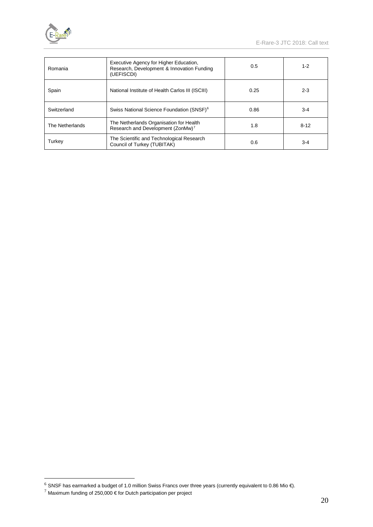

| Romania         | Executive Agency for Higher Education,<br>Research, Development & Innovation Funding<br>(UEFISCDI) | 0.5  | $1 - 2$  |
|-----------------|----------------------------------------------------------------------------------------------------|------|----------|
| Spain           | National Institute of Health Carlos III (ISCIII)                                                   | 0.25 | $2 - 3$  |
| Switzerland     | Swiss National Science Foundation (SNSF) <sup>6</sup>                                              | 0.86 | $3-4$    |
| The Netherlands | The Netherlands Organisation for Health<br>Research and Development (ZonMw) <sup>7</sup>           | 1.8  | $8 - 12$ |
| Turkey          | The Scientific and Technological Research<br>Council of Turkey (TUBITAK)                           | 0.6  | $3-4$    |

<span id="page-19-0"></span> <sup>6</sup> SNSF has earmarked a budget of 1.0 million Swiss Francs over three years (currently equivalent to 0.86 Mio €).

<span id="page-19-1"></span> $^7$  Maximum funding of 250,000 € for Dutch participation per project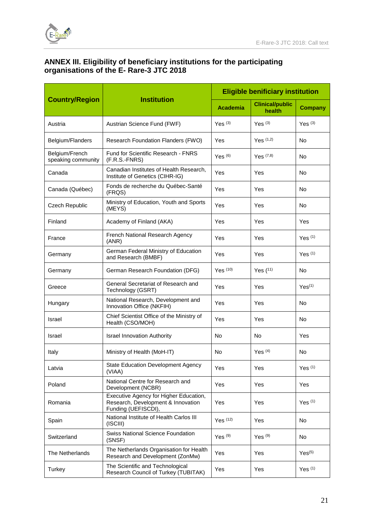

# **ANNEX III. Eligibility of beneficiary institutions for the participating organisations of the E- Rare-3 JTC 2018**

|                                      |                                                                                                     | <b>Eligible benificiary institution</b> |                                  |                    |  |
|--------------------------------------|-----------------------------------------------------------------------------------------------------|-----------------------------------------|----------------------------------|--------------------|--|
| <b>Country/Region</b>                | <b>Institution</b>                                                                                  | <b>Academia</b>                         | <b>Clinical/public</b><br>health | <b>Company</b>     |  |
| Austria                              | Austrian Science Fund (FWF)                                                                         | Yes $(3)$                               | Yes $(3)$                        | Yes $(3)$          |  |
| Belgium/Flanders                     | Research Foundation Flanders (FWO)                                                                  | Yes                                     | $Yes^{(1,2)}$                    | No                 |  |
| Belgium/French<br>speaking community | Fund for Scientific Research - FNRS<br>(F.R.S.-FNRS)                                                | Yes $(6)$                               | $Yes^{(7,8)}$                    | No                 |  |
| Canada                               | Canadian Institutes of Health Research,<br>Institute of Genetics (CIHR-IG)                          | Yes                                     | Yes                              | No                 |  |
| Canada (Québec)                      | Fonds de recherche du Québec-Santé<br>(FRQS)                                                        | Yes                                     | Yes                              | No                 |  |
| Czech Republic                       | Ministry of Education, Youth and Sports<br>(MEYS)                                                   | Yes                                     | Yes                              | <b>No</b>          |  |
| Finland                              | Academy of Finland (AKA)                                                                            | Yes                                     | Yes                              | <b>Yes</b>         |  |
| France                               | French National Research Agency<br>(ANR)                                                            | Yes                                     | Yes                              | Yes $(1)$          |  |
| Germany                              | German Federal Ministry of Education<br>and Research (BMBF)                                         | Yes                                     | Yes                              | Yes $(1)$          |  |
| Germany                              | German Research Foundation (DFG)                                                                    | Yes $(10)$                              | Yes $(11)$                       | <b>No</b>          |  |
| Greece                               | General Secretariat of Research and<br>Technology (GSRT)                                            | Yes                                     | Yes                              | Yes <sup>(1)</sup> |  |
| Hungary                              | National Research, Development and<br>Innovation Office (NKFIH)                                     | Yes                                     | Yes                              | <b>No</b>          |  |
| Israel                               | Chief Scientist Office of the Ministry of<br>Health (CSO/MOH)                                       | Yes                                     | Yes                              | No                 |  |
| Israel                               | <b>Israel Innovation Authority</b>                                                                  | No                                      | No                               | Yes                |  |
| Italy                                | Ministry of Health (MoH-IT)                                                                         | No                                      | Yes $(4)$                        | No                 |  |
| Latvia                               | State Education Development Agency<br>(VIAA)                                                        | Yes                                     | Yes                              | Yes $(1)$          |  |
| Poland                               | National Centre for Research and<br>Development (NCBR)                                              | Yes                                     | Yes                              | Yes                |  |
| Romania                              | Executive Agency for Higher Education,<br>Research, Development & Innovation<br>Funding (UEFISCDI), | Yes                                     | Yes                              | Yes $(1)$          |  |
| Spain                                | National Institute of Health Carlos III<br>(ISCIII)                                                 | Yes $(12)$                              | Yes                              | No                 |  |
| Switzerland                          | <b>Swiss National Science Foundation</b><br>(SNSF)                                                  | Yes $(9)$                               | Yes $(9)$                        | No.                |  |
| The Netherlands                      | The Netherlands Organisation for Health<br>Research and Development (ZonMw)                         | Yes                                     | Yes                              | Yes <sup>(5)</sup> |  |
| Turkey                               | The Scientific and Technological<br>Research Council of Turkey (TUBITAK)                            | Yes                                     | Yes                              | Yes $(1)$          |  |